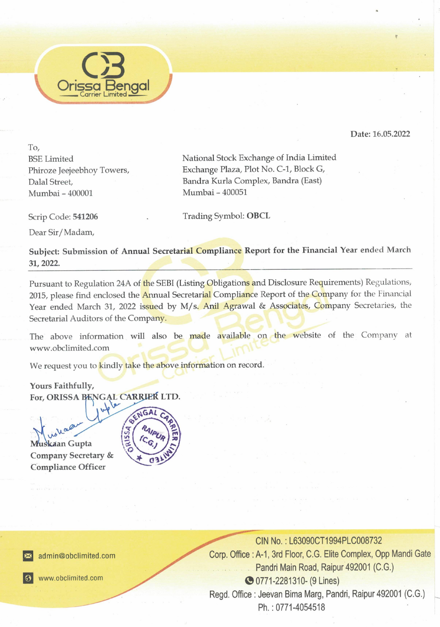

Date: 16.05.2022

To,<br>BSE Limited<br>Phiroze Jeejeebhoy To<br>Dalal Street,<br>Mumbai – 400001<br>Scrip Code: **541206**<br>Dear Sir/Madam,<br>**Subject: Submission**<br>**31, 2022.** To, Mumbai - 400001 Mumbai - 400051

Exchange of India Limite<br>Plot No. C-1, Block G,<br>mplex, Bandra (East)<br>I<br>**OBCL**<br>Report for the Financ BSE Limited National Stock Exchange of India Limited Phiroze Jeejeebhoy Towers, Exchange Plaza, Plot No. C-1, Block G, Dalal Street, Bandra Kurla Complex, Bandra (East)

Scrip Code: 541206 . Trading Symbol: OBCL

Dear Sir / Madam,

Subject: Submission of Annual Secretarial Compliance Report for the Financial Year ended March 31, 2022

Mumbai - 400001 Mumbai - 400001 Mumbai - 400001 Mumbai - 400001 Trading S<br>
Dear Sir/Madam,<br>
Subject: Submission of Annual Secretarial Comp<br>
31, 2022.<br>
Pursuant to Regulation 24A of the SEBI (Listing Ob<br>
2015, please find Pursuant to Regulation 24A of the SEBI (Listing Obligations and Disclosure Requirements) Regulations, 2015, please find enclosed the *Annual Secretarial* Compliance Report of the Company for the Financial Year ended March 31, 2022 issued by M/s. Anil Agrawal & Associates, Company Secretaries, the

The above information will also be made available on the website of the Company at www.obclimited.com

We request you to kindly take the above information on record.

Yours Faithfully, We request you to <mark>kindly take the above</mark><br>Yours Faithfully,<br>For, ORISSA BENGAL CARRIER LTD.

We request you to kind<br>
Yours Faithfully,<br>
For, ORISSA BENGA<br>
Wuskkaan Gupta<br>
Compliance Officer<br>
Compliance Officer<br>
Summer obtimited.com Company Secretary &<br>Compliance Officer



imited.com<br>ted.com<br>**Allace Strategie Compare** 



CIN No.: L63090CT1994PLC008732 Pandri Main Road, Raipur 492001 (C.G.) **C** 0771-2281310- (9 Lines) Regd. Office : Jeevan Bima Marg, Pandri, Raipur 492001 (C.G.) Ph. : 0771-4054518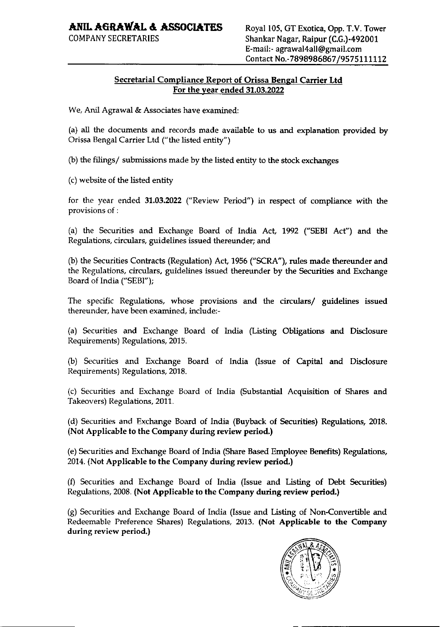## ANIL AGRAWAL & ASSOCIATES Royal 105, GT Exotica, Opp. T.V. Tower

## Secretarial Compliance Report of Orissa Bengal Carrier Ltd For the year ended 31.03.2022

We, Anil Agrawal & Associates have examined:

(a) all the documents and records made available to us and explanation provided by Orissa Bengal Carrier Ltd ("the listed entity")

(b) the filings/ submissions made by the listed entity to the stock exchanges

(c) website of the listed entity

for the year ended 31.03.2022 ("Review Period") in respect of compliance with the provisions of :

(a) the Securities and Exchange Board of India Act, 1992 ("SEBI Act") and the Regulations, circulars, guidelines issued thereunder; and

(b) the Securities Contracts (Regulation) Act, 1956 ("SCRA"), rules made thereunder and the Regulations, circulars, guidelines issued thereunder by the Securities and Exchange Board of India ("SEBI");

The specific Regulations, whose provisions and the circulars/ guidelines issued thereunder, have been examined, include:-

(a) Securities and Exchange Board of India (Listing Obligations and Disclosure Requirements) Regulations, 2015.

(b) Securities and Exchange Board of India (Issue of Capital and Disclosure Requirements) Regulations, 2018.

(c) Securities and Exchange Board of India (Substantial Acquisition of Shares and Takeovers) Regulations, 2011.

(d) Securities and Exchange Board of India (Buyback of Securities) Regulations, 2018. (Not Applicable to the Company during review period.)

(e) Securities and Exchange Board of India (Share Based Employee Benefits) Regulations, 2014. (Not Applicable to the Company during review period.)

(f) Securities and Exchange Board of India (Issue and Listing of Debt Securities) Regulations, 2008. (Not Applicable to the Company during review period.)

(g) Securities and Exchange Board of India (Issue and Listing of Non-Convertible and Redeemable Preference Shares) Regulations, 2013. (Not Applicable to the Company during review period.)